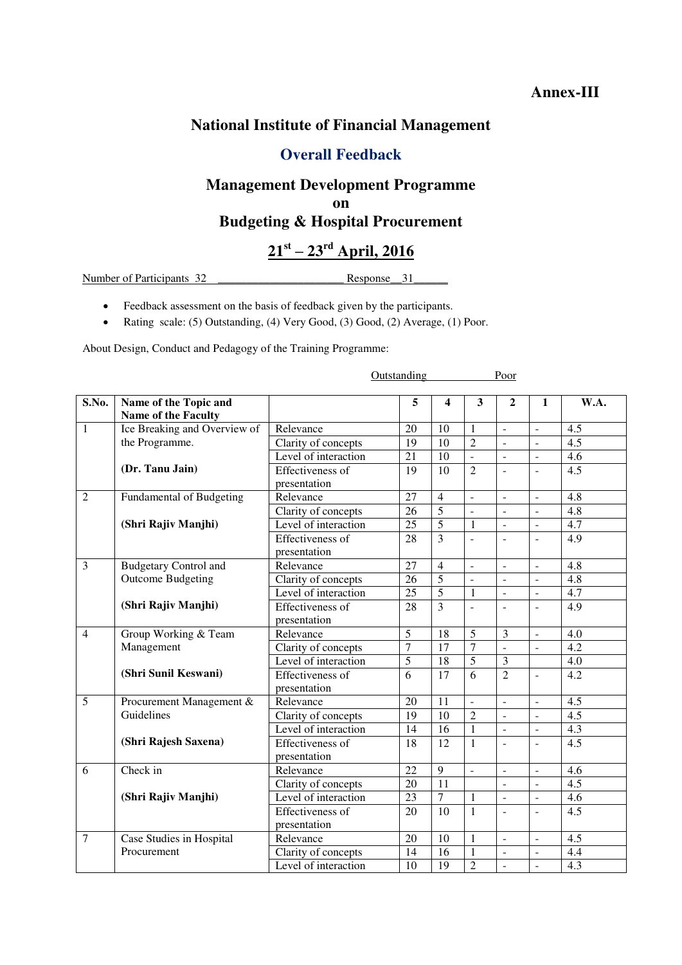#### **Annex-III**

### **National Institute of Financial Management**

### **Overall Feedback**

# **Management Development Programme**

**on** 

### **Budgeting & Hospital Procurement**

## **21st – 23rd April, 2016**

Number of Participants 32 **Show Response** 31

- Feedback assessment on the basis of feedback given by the participants.
- Rating scale: (5) Outstanding, (4) Very Good, (3) Good, (2) Average, (1) Poor.

About Design, Conduct and Pedagogy of the Training Programme:

|                |                                 |                         | Outstanding<br>Poor |                 |                |                          |                     |                  |
|----------------|---------------------------------|-------------------------|---------------------|-----------------|----------------|--------------------------|---------------------|------------------|
|                |                                 |                         |                     |                 |                |                          |                     |                  |
| S.No.          | Name of the Topic and           |                         | $\overline{5}$      | 4               | 3              | 2                        | $\mathbf{1}$        | W.A.             |
|                | Name of the Faculty             |                         |                     |                 |                |                          |                     |                  |
| $\mathbf{1}$   | Ice Breaking and Overview of    | Relevance               | 20                  | 10              | $\mathbf{1}$   | $\overline{a}$           | $\overline{a}$      | 4.5              |
|                | the Programme.                  | Clarity of concepts     | $\overline{19}$     | $\overline{10}$ | $\overline{2}$ | $\overline{\phantom{a}}$ | $\overline{a}$      | $\overline{4.5}$ |
|                |                                 | Level of interaction    | 21                  | 10              | $\overline{a}$ | $\frac{1}{2}$            | $\overline{a}$      | 4.6              |
|                | (Dr. Tanu Jain)                 | Effectiveness of        | 19                  | 10              | $\overline{2}$ | $\overline{a}$           |                     | 4.5              |
|                |                                 | presentation            |                     |                 |                |                          |                     |                  |
| $\overline{2}$ | <b>Fundamental of Budgeting</b> | Relevance               | $\overline{27}$     | $\overline{4}$  | $\overline{a}$ | $\frac{1}{2}$            | $\overline{a}$      | $\overline{4.8}$ |
|                |                                 | Clarity of concepts     | $\overline{26}$     | 5               | $\sim$         | L.                       | $\blacksquare$      | $\overline{4.8}$ |
|                | (Shri Rajiv Manjhi)             | Level of interaction    | $\overline{25}$     | 5               | $\mathbf{1}$   | $\overline{a}$           | $\blacksquare$      | $\overline{4.7}$ |
|                |                                 | <b>Effectiveness of</b> | 28                  | $\overline{3}$  | $\overline{a}$ | $\overline{a}$           | $\blacksquare$      | $\overline{4.9}$ |
|                |                                 | presentation            |                     |                 |                |                          |                     |                  |
| $\overline{3}$ | <b>Budgetary Control and</b>    | Relevance               | 27                  | $\overline{4}$  | $\overline{a}$ | $\overline{a}$           | $\mathbb{L}$        | $\overline{4.8}$ |
|                | <b>Outcome Budgeting</b>        | Clarity of concepts     | $\overline{26}$     | $\overline{5}$  | $\sim$         | $\overline{a}$           | $\sim$              | $\overline{4.8}$ |
|                |                                 | Level of interaction    | $\overline{25}$     | 5               | $\mathbf{1}$   | $\overline{a}$           | $\overline{a}$      | $\overline{4.7}$ |
|                | (Shri Rajiv Manjhi)             | <b>Effectiveness of</b> | $\overline{28}$     | $\overline{3}$  | $\overline{a}$ | $\overline{a}$           | $\blacksquare$      | $\overline{4.9}$ |
|                |                                 | presentation            |                     |                 |                |                          |                     |                  |
| $\overline{4}$ | Group Working & Team            | Relevance               | 5                   | 18              | 5              | 3                        | $\overline{a}$      | 4.0              |
|                | Management                      | Clarity of concepts     | $\overline{7}$      | 17              | $\overline{7}$ | $\overline{a}$           |                     | 4.2              |
|                |                                 | Level of interaction    | 5                   | 18              | 5              | $\overline{\mathbf{3}}$  |                     | 4.0              |
|                | (Shri Sunil Keswani)            | Effectiveness of        | $\overline{6}$      | $\overline{17}$ | $\overline{6}$ | $\overline{2}$           | $\overline{a}$      | 4.2              |
|                |                                 | presentation            |                     |                 |                |                          |                     |                  |
| $\overline{5}$ | Procurement Management &        | Relevance               | 20                  | 11              | $\Box$         | $\blacksquare$           | $\Box$              | 4.5              |
|                | Guidelines                      | Clarity of concepts     | 19                  | 10              | $\mathcal{L}$  | $\blacksquare$           | $\blacksquare$      | 4.5              |
|                |                                 | Level of interaction    | 14                  | 16              | $\mathbf{1}$   | $\blacksquare$           | $\blacksquare$      | 4.3              |
|                | (Shri Rajesh Saxena)            | <b>Effectiveness of</b> | $\overline{18}$     | $\overline{12}$ | $\mathbf{1}$   | $\overline{\phantom{a}}$ | $\blacksquare$      | $\overline{4.5}$ |
|                |                                 | presentation            |                     |                 |                |                          |                     |                  |
| 6              | Check in                        | Relevance               | 22                  | $\overline{9}$  | $\overline{a}$ | $\overline{\phantom{a}}$ | $\sim$              | 4.6              |
|                |                                 | Clarity of concepts     | 20                  | $\overline{11}$ |                | $\blacksquare$           | $\bar{\phantom{a}}$ | 4.5              |
|                | (Shri Rajiv Manjhi)             | Level of interaction    | $\overline{23}$     | $\overline{7}$  | $\mathbf{1}$   | $\overline{\phantom{a}}$ | $\Box$              | 4.6              |
|                |                                 | <b>Effectiveness of</b> | $\overline{20}$     | $\overline{10}$ | $\mathbf{1}$   | $\overline{a}$           | $\overline{a}$      | $\overline{4.5}$ |
|                |                                 | presentation            |                     |                 |                |                          |                     |                  |
| $\overline{7}$ | Case Studies in Hospital        | Relevance               | 20                  | 10              | $\mathbf{1}$   | $\overline{a}$           | $\sim$              | 4.5              |
|                | Procurement                     | Clarity of concepts     | 14                  | 16              | $\mathbf{1}$   | ÷,                       | $\bar{\phantom{a}}$ | 4.4              |
|                |                                 | Level of interaction    | 10                  | $\overline{19}$ | $\overline{2}$ | $\overline{a}$           | $\overline{a}$      | $\overline{4.3}$ |